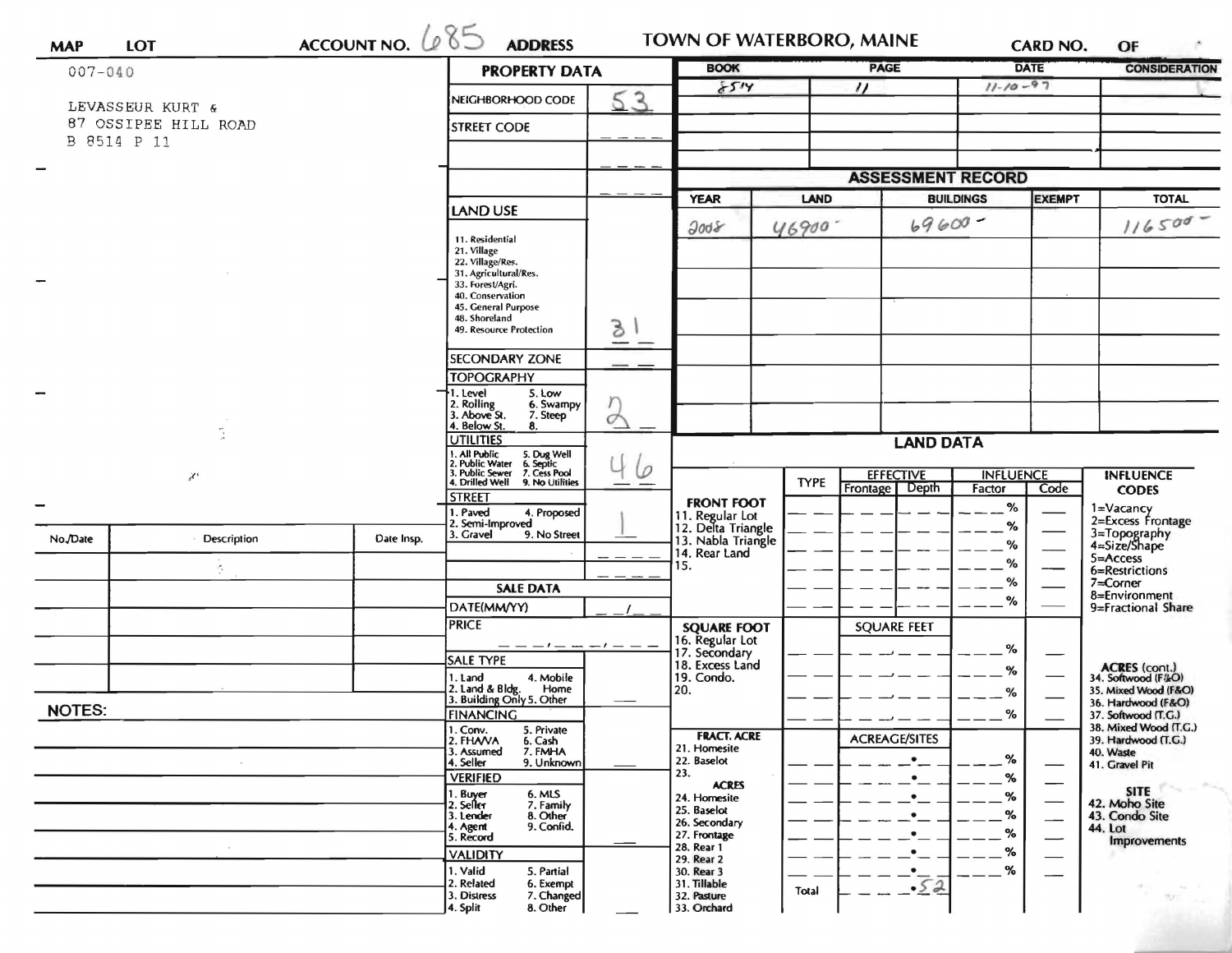| ACCOUNT NO. $685$<br><b>MAP</b><br>$007 - 040$ |                 |            | <b>PROPERTY DATA</b>                                                                                                            | <b>BOOK</b> |                                                            | <b>PAGE</b>      | <b>CARD NO.</b><br><b>DATE</b><br>$11 - 10 - 97$ |                                      | <b>CONSIDERATION</b>                      |                                              |
|------------------------------------------------|-----------------|------------|---------------------------------------------------------------------------------------------------------------------------------|-------------|------------------------------------------------------------|------------------|--------------------------------------------------|--------------------------------------|-------------------------------------------|----------------------------------------------|
|                                                |                 |            |                                                                                                                                 | 8514        | $^{\prime\prime}$                                          |                  |                                                  |                                      |                                           |                                              |
| LEVASSEUR KURT &<br>87 OSSIPEE HILL ROAD       |                 |            | NEIGHBORHOOD CODE<br><b>STREET CODE</b>                                                                                         | 53          |                                                            |                  |                                                  |                                      |                                           |                                              |
| B 8514 P 11                                    |                 |            |                                                                                                                                 |             |                                                            |                  |                                                  |                                      |                                           |                                              |
|                                                |                 |            |                                                                                                                                 |             |                                                            |                  | <b>ASSESSMENT RECORD</b>                         |                                      |                                           |                                              |
|                                                |                 |            |                                                                                                                                 |             | <b>YEAR</b>                                                | LAND             |                                                  | <b>BUILDINGS</b>                     | <b>EXEMPT</b>                             | <b>TOTAL</b>                                 |
|                                                |                 |            | <b>LAND USE</b>                                                                                                                 |             | 3008                                                       | 46900.           | $69600 -$                                        |                                      |                                           | $116500 -$                                   |
|                                                |                 |            | 11. Residential<br>21. Village<br>22. Village/Res.                                                                              |             |                                                            |                  |                                                  |                                      |                                           |                                              |
|                                                |                 |            | 31. Agricultural/Res.<br>33. Forest/Agri.<br>40. Conservation                                                                   |             |                                                            |                  |                                                  |                                      |                                           |                                              |
|                                                |                 |            | 45. General Purpose<br>48. Shoreland                                                                                            |             |                                                            |                  |                                                  |                                      |                                           |                                              |
|                                                |                 |            | 49. Resource Protection                                                                                                         | 3           |                                                            |                  |                                                  |                                      |                                           |                                              |
|                                                |                 |            | <b>SECONDARY ZONE</b>                                                                                                           | __          |                                                            |                  |                                                  |                                      |                                           |                                              |
|                                                |                 |            | <b>TOPOGRAPHY</b><br>5. Low<br>1. Level                                                                                         |             |                                                            |                  |                                                  |                                      |                                           |                                              |
|                                                | $\chi^{\prime}$ |            | 2. Rolling<br>3. Above St.<br>6. Swampy<br>7. Steep                                                                             |             |                                                            |                  |                                                  |                                      |                                           |                                              |
|                                                |                 |            | 4. Below St.<br>8.<br><b>UTILITIES</b>                                                                                          |             |                                                            | <b>LAND DATA</b> |                                                  |                                      |                                           |                                              |
|                                                |                 |            | 1. All Public<br>2. Public Water<br>3. Public Sewer<br>4. Drilled Well<br>5. Dug Well<br>6. Septic<br>$\varphi$<br>7. Cess Pool |             | <b>EFFECTIVE</b>                                           |                  |                                                  | <b>INFLUENCE</b><br><b>INFLUENCE</b> |                                           |                                              |
|                                                |                 |            | 9. No Utilities<br><b>STREET</b>                                                                                                |             |                                                            | <b>TYPE</b>      | Frontage Depth                                   | Factor                               | Code                                      | <b>CODES</b>                                 |
|                                                |                 |            | 1. Paved<br>4. Proposed<br>2. Semi-Improved                                                                                     |             | <b>FRONT FOOT</b><br>11. Regular Lot<br>12. Delta Triangle |                  |                                                  | %<br>℅                               |                                           | $1 = Vacancy$<br>2=Excess Frontage           |
| No./Date                                       | Description     | Date Insp. | 3. Gravel<br>9. No Street                                                                                                       |             | 13. Nabla Triangle                                         |                  |                                                  | ℅                                    |                                           | 3=Topography<br>4=Size/Shape                 |
|                                                |                 |            |                                                                                                                                 |             | 14. Rear Land<br>15.                                       |                  |                                                  | %                                    |                                           | $5 =$ Access<br>6=Restrictions               |
|                                                |                 |            | <b>SALE DATA</b>                                                                                                                |             |                                                            |                  |                                                  | $\%$<br>%                            |                                           | $7 =$ Corner<br>8=Environment                |
|                                                |                 |            | DATE(MM/YY)<br><b>PRICE</b>                                                                                                     |             |                                                            |                  |                                                  |                                      |                                           | 9=Fractional Share                           |
|                                                |                 |            |                                                                                                                                 |             | <b>SQUARE FOOT</b><br>16. Regular Lot                      |                  | <b>SQUARE FEET</b>                               | %                                    |                                           |                                              |
|                                                |                 |            | SALE TYPE                                                                                                                       |             | 17. Secondary<br>18. Excess Land                           |                  |                                                  | %                                    |                                           | <b>ACRES</b> (cont.)<br>34. Softwood (F&O)   |
|                                                |                 |            | 1. Land<br>4. Mobile<br>2. Land & Bldg.<br>Home                                                                                 |             | 19. Condo.<br>20.                                          |                  |                                                  | %                                    |                                           | 35. Mixed Wood (F&O)                         |
| <b>NOTES:</b>                                  |                 |            | 3. Building Only 5. Other<br><b>FINANCING</b>                                                                                   |             |                                                            |                  |                                                  | %                                    | 36. Hardwood (F&O)<br>37. Softwood (T.G.) |                                              |
|                                                |                 |            | I. Conv.<br>5. Private<br>2. FHAVA<br>6. Cash                                                                                   |             | <b>FRACT. ACRE</b>                                         |                  | <b>ACREAGE/SITES</b>                             |                                      |                                           | 38. Mixed Wood (T.G.)<br>39. Hardwood (T.G.) |
|                                                |                 |            | 7. FMHA<br>3. Assumed<br>9. Unknown<br>4. Seller                                                                                |             | 21. Homesite<br>22. Baselot                                |                  | $\bullet$                                        | %                                    | —                                         | 40. Waste<br>41. Gravel Pit                  |
|                                                |                 |            | <b>VERIFIED</b><br>6. MLS                                                                                                       |             | 23.<br><b>ACRES</b>                                        |                  |                                                  | %                                    |                                           | <b>SITE</b>                                  |
|                                                |                 |            | 1. Buyer<br>2. Seller<br>7. Family<br>3. Lender<br>8. Other                                                                     |             | 24. Homesite<br>25. Baselot                                |                  |                                                  | %<br>%                               |                                           | 42. Moho Site<br>43. Condo Site              |
|                                                |                 |            | 4. Agent<br>9. Confid.<br>5. Record                                                                                             |             | 26. Secondary<br>27. Frontage                              |                  |                                                  | %                                    | —                                         | 44. Lot<br><b>Improvements</b>               |
|                                                |                 |            | <b>VALIDITY</b>                                                                                                                 |             | 28. Rear 1<br>29. Rear 2                                   |                  |                                                  | %                                    |                                           |                                              |
|                                                |                 |            | 1. Valid<br>5. Partial<br>2. Related<br>6. Exempt                                                                               |             | 30. Rear 3<br>31. Tillable                                 |                  | .52                                              | %                                    |                                           |                                              |
|                                                |                 |            | 3. Distress<br>7. Changed<br>4. Split<br>8. Other                                                                               |             | 32. Pasture<br>33. Orchard                                 | Total            |                                                  |                                      |                                           |                                              |